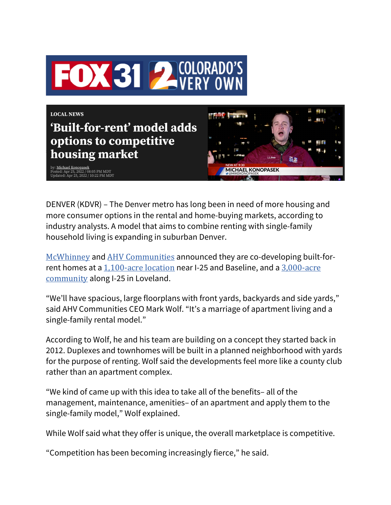



: <u>Michael Konopasek</u><br>sted: Apr 25, 2022 / 08:05 PM MDT<br>dated: Apr 25, 2022 / 10:22 PM MDT



DENVER (KDVR) – The Denver metro has long been in need of more housing and more consumer options in the rental and home-buying markets, according to industry analysts. A model that aims to combine renting with single-family household living is expanding in suburban Denver.

McWhinney and AHV Communities announced they are co-developing built-forrent homes at a 1,100-acre location near I-25 and Baseline, and a 3,000-acre community along I-25 in Loveland.

"We'll have spacious, large floorplans with front yards, backyards and side yards," said AHV Communities CEO Mark Wolf. "It's a marriage of apartment living and a single-family rental model."

According to Wolf, he and his team are building on a concept they started back in 2012. Duplexes and townhomes will be built in a planned neighborhood with yards for the purpose of renting. Wolf said the developments feel more like a county club rather than an apartment complex.

"We kind of came up with this idea to take all of the benefits– all of the management, maintenance, amenities– of an apartment and apply them to the single-family model," Wolf explained.

While Wolf said what they offer is unique, the overall marketplace is competitive.

"Competition has been becoming increasingly fierce," he said.